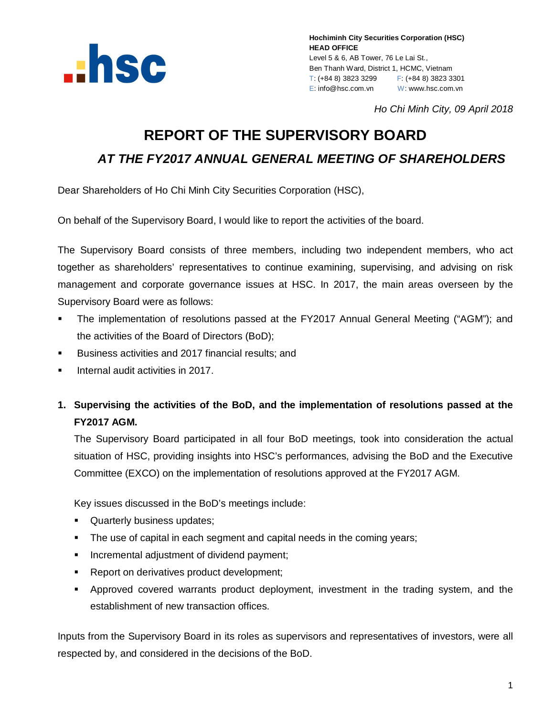

*Ho Chi Minh City, 09 April 2018*

# **REPORT OF THE SUPERVISORY BOARD**

*AT THE FY2017 ANNUAL GENERAL MEETING OF SHAREHOLDERS*

Dear Shareholders of Ho Chi Minh City Securities Corporation (HSC),

On behalf of the Supervisory Board, I would like to report the activities of the board.

The Supervisory Board consists of three members, including two independent members, who act together as shareholders' representatives to continue examining, supervising, and advising on risk management and corporate governance issues at HSC. In 2017, the main areas overseen by the Supervisory Board were as follows:

- The implementation of resolutions passed at the FY2017 Annual General Meeting ("AGM"); and the activities of the Board of Directors (BoD);
- Business activities and 2017 financial results; and
- Internal audit activities in 2017.
- **1. Supervising the activities of the BoD, and the implementation of resolutions passed at the FY2017 AGM.**

The Supervisory Board participated in all four BoD meetings, took into consideration the actual situation of HSC, providing insights into HSC's performances, advising the BoD and the Executive Committee (EXCO) on the implementation of resolutions approved at the FY2017 AGM.

Key issues discussed in the BoD's meetings include:

- **Quarterly business updates;**
- The use of capital in each segment and capital needs in the coming years;
- **Incremental adjustment of dividend payment;**
- **Report on derivatives product development;**
- Approved covered warrants product deployment, investment in the trading system, and the establishment of new transaction offices.

Inputs from the Supervisory Board in its roles as supervisors and representatives of investors, were all respected by, and considered in the decisions of the BoD.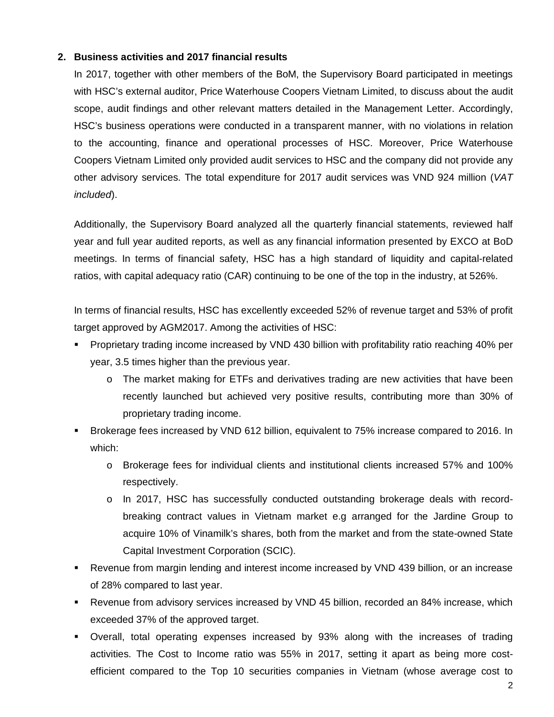#### **2. Business activities and 2017 financial results**

In 2017, together with other members of the BoM, the Supervisory Board participated in meetings with HSC's external auditor, Price Waterhouse Coopers Vietnam Limited, to discuss about the audit scope, audit findings and other relevant matters detailed in the Management Letter. Accordingly, HSC's business operations were conducted in a transparent manner, with no violations in relation to the accounting, finance and operational processes of HSC. Moreover, Price Waterhouse Coopers Vietnam Limited only provided audit services to HSC and the company did not provide any other advisory services. The total expenditure for 2017 audit services was VND 924 million (*VAT included*).

Additionally, the Supervisory Board analyzed all the quarterly financial statements, reviewed half year and full year audited reports, as well as any financial information presented by EXCO at BoD meetings. In terms of financial safety, HSC has a high standard of liquidity and capital-related ratios, with capital adequacy ratio (CAR) continuing to be one of the top in the industry, at 526%.

In terms of financial results, HSC has excellently exceeded 52% of revenue target and 53% of profit target approved by AGM2017. Among the activities of HSC:

- Proprietary trading income increased by VND 430 billion with profitability ratio reaching 40% per year, 3.5 times higher than the previous year.
	- $\circ$  The market making for ETFs and derivatives trading are new activities that have been recently launched but achieved very positive results, contributing more than 30% of proprietary trading income.
- Brokerage fees increased by VND 612 billion, equivalent to 75% increase compared to 2016. In which:
	- o Brokerage fees for individual clients and institutional clients increased 57% and 100% respectively.
	- o In 2017, HSC has successfully conducted outstanding brokerage deals with recordbreaking contract values in Vietnam market e.g arranged for the Jardine Group to acquire 10% of Vinamilk's shares, both from the market and from the state-owned State Capital Investment Corporation (SCIC).
- Revenue from margin lending and interest income increased by VND 439 billion, or an increase of 28% compared to last year.
- Revenue from advisory services increased by VND 45 billion, recorded an 84% increase, which exceeded 37% of the approved target.
- Overall, total operating expenses increased by 93% along with the increases of trading activities. The Cost to Income ratio was 55% in 2017, setting it apart as being more costefficient compared to the Top 10 securities companies in Vietnam (whose average cost to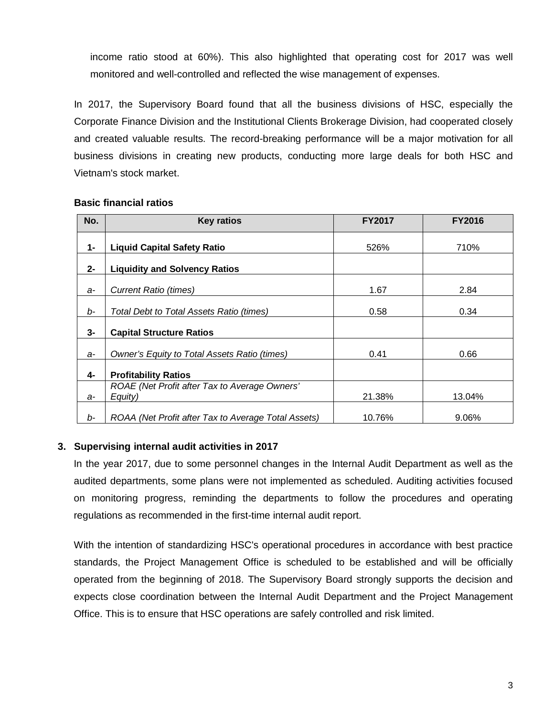income ratio stood at 60%). This also highlighted that operating cost for 2017 was well monitored and well-controlled and reflected the wise management of expenses.

In 2017, the Supervisory Board found that all the business divisions of HSC, especially the Corporate Finance Division and the Institutional Clients Brokerage Division, had cooperated closely and created valuable results. The record-breaking performance will be a major motivation for all business divisions in creating new products, conducting more large deals for both HSC and Vietnam's stock market.

| No.   | <b>Key ratios</b>                                        | <b>FY2017</b> | <b>FY2016</b> |
|-------|----------------------------------------------------------|---------------|---------------|
| $1 -$ | <b>Liquid Capital Safety Ratio</b>                       | 526%          | 710%          |
| $2 -$ | <b>Liquidity and Solvency Ratios</b>                     |               |               |
| a-    | Current Ratio (times)                                    | 1.67          | 2.84          |
| b-    | Total Debt to Total Assets Ratio (times)                 | 0.58          | 0.34          |
| $3-$  | <b>Capital Structure Ratios</b>                          |               |               |
| a-    | Owner's Equity to Total Assets Ratio (times)             | 0.41          | 0.66          |
| 4-    | <b>Profitability Ratios</b>                              |               |               |
| $a-$  | ROAE (Net Profit after Tax to Average Owners'<br>Equity) | 21.38%        | 13.04%        |
| $b-$  | ROAA (Net Profit after Tax to Average Total Assets)      | 10.76%        | 9.06%         |

#### **Basic financial ratios**

#### **3. Supervising internal audit activities in 2017**

In the year 2017, due to some personnel changes in the Internal Audit Department as well as the audited departments, some plans were not implemented as scheduled. Auditing activities focused on monitoring progress, reminding the departments to follow the procedures and operating regulations as recommended in the first-time internal audit report.

With the intention of standardizing HSC's operational procedures in accordance with best practice standards, the Project Management Office is scheduled to be established and will be officially operated from the beginning of 2018. The Supervisory Board strongly supports the decision and expects close coordination between the Internal Audit Department and the Project Management Office. This is to ensure that HSC operations are safely controlled and risk limited.